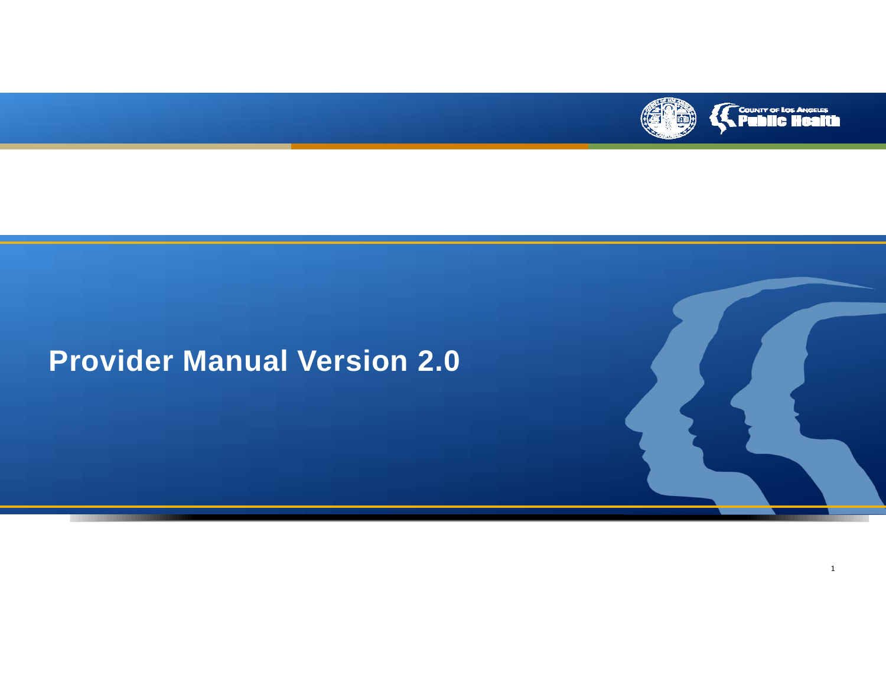

# **Provider Manual Version 2.0**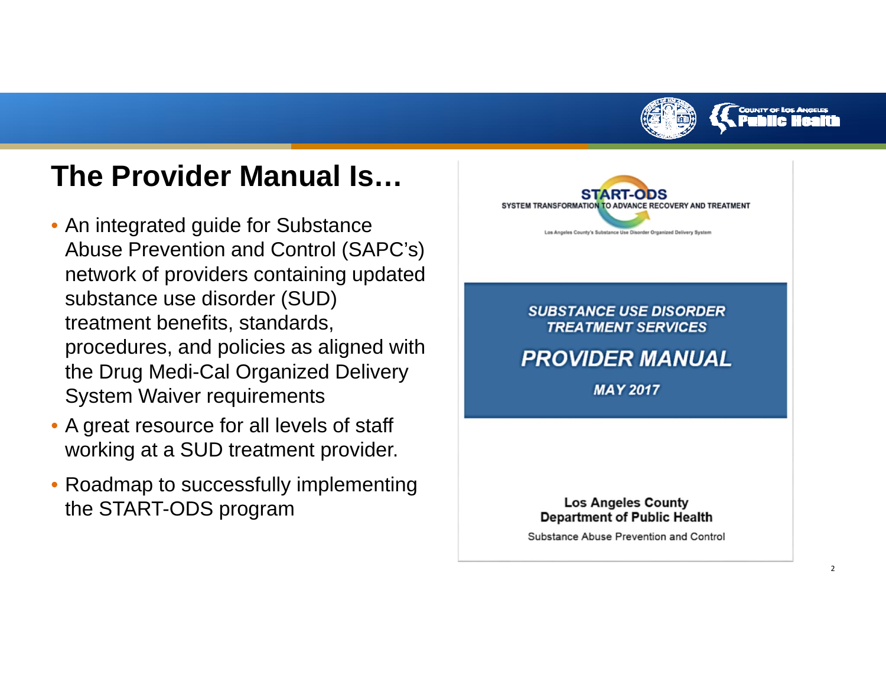

 $\overline{\phantom{0}}$ 

# **The Provider Manual Is…**

- An integrated guide for Substance Abuse Prevention and Control (SAPC's) network of providers containing updated substance use disorder (SUD) treatment benefits, standards, procedures, and policies as aligned with the Drug Medi-Cal Organized Delivery System Waiver requirements
- A great resource for all levels of staff working at a SUD treatment provider.
- Roadmap to successfully implementing the START-ODS program

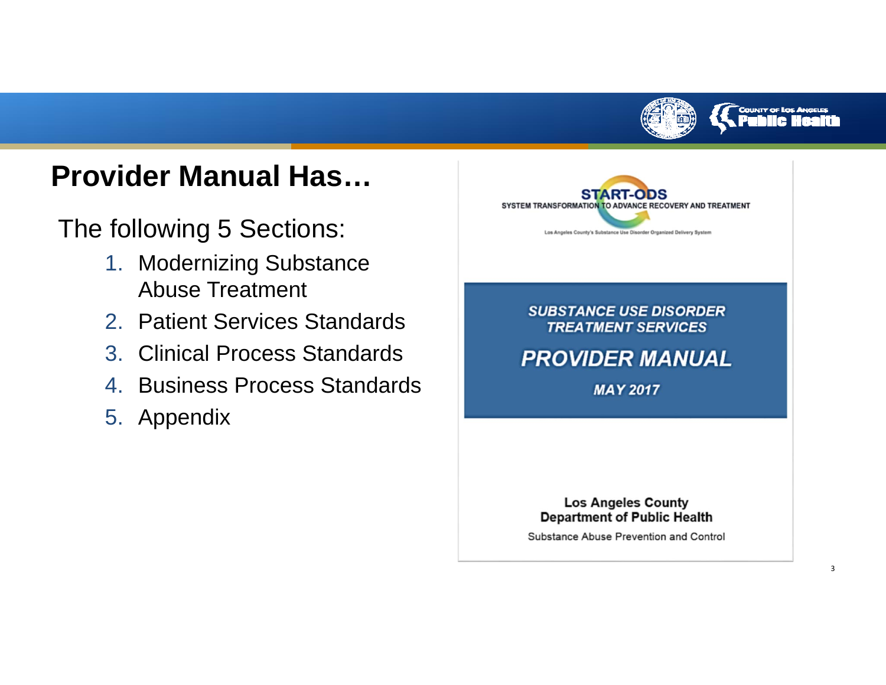

#### **COUNTY OF LOS ANGELES**

3

# **Provider Manual Has…**

The following 5 Sections:

- 1. Modernizing Substance Abuse Treatment
- 2. Patient Services Standards
- 3. Clinical Process Standards
- 4. Business Process Standards
- 5. Appendix

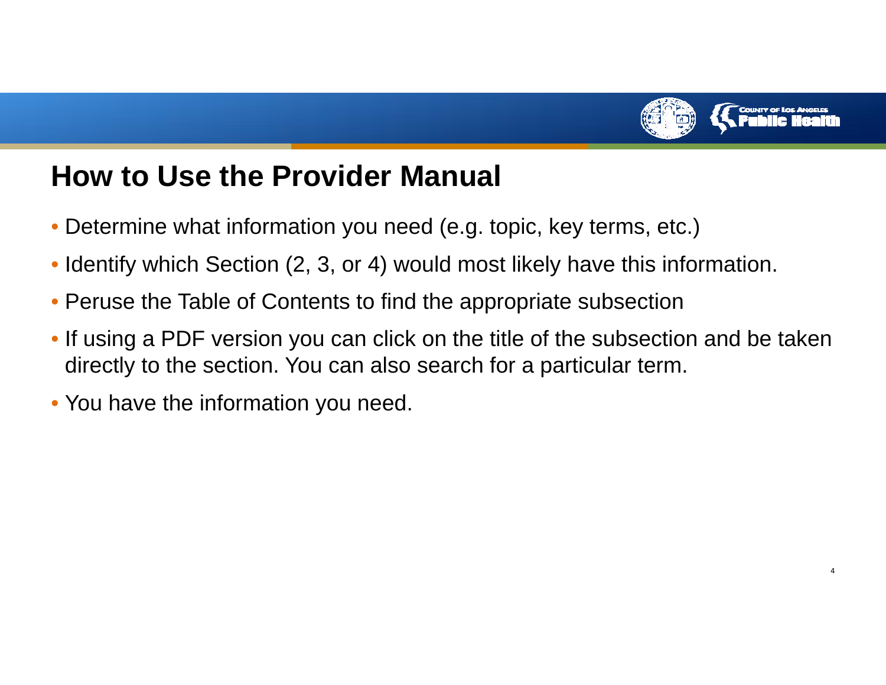

## **How to Use the Provider Manual**

- Determine what information you need (e.g. topic, key terms, etc.)
- Identify which Section (2, 3, or 4) would most likely have this information.
- Peruse the Table of Contents to find the appropriate subsection
- If using a PDF version you can click on the title of the subsection and be taken directly to the section. You can also search for a particular term.
- You have the information you need.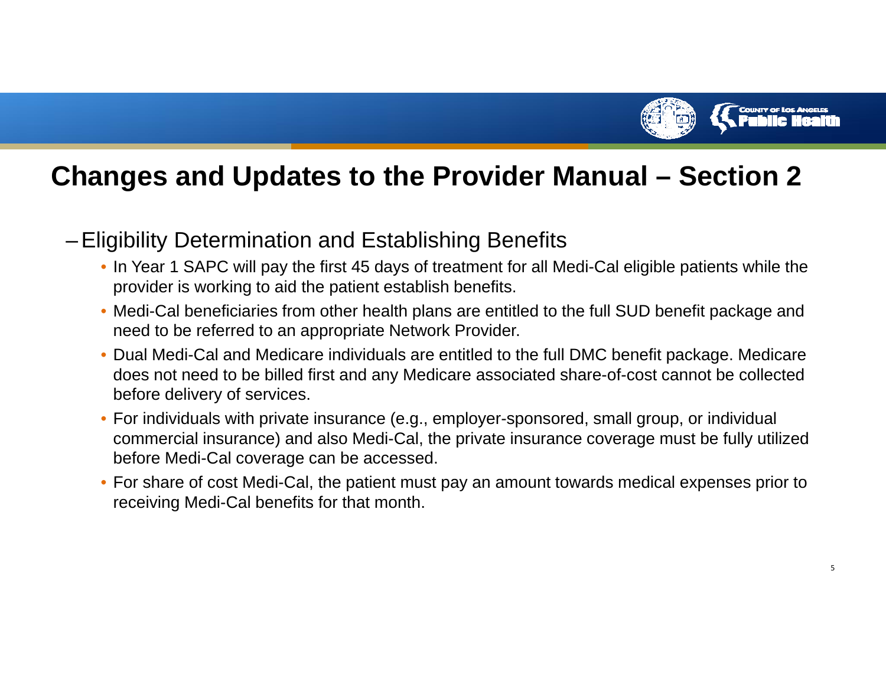

#### **Changes and Updates to the Provider Manual – Section 2**

- – Eligibility Determination and Establishing Benefits
	- In Year 1 SAPC will pay the first 45 days of treatment for all Medi-Cal eligible patients while the provider is working to aid the patient establish benefits.
	- Medi-Cal beneficiaries from other health plans are entitled to the full SUD benefit package and need to be referred to an appropriate Network Provider.
	- Dual Medi-Cal and Medicare individuals are entitled to the full DMC benefit package. Medicare does not need to be billed first and any Medicare associated share-of-cost cannot be collected before delivery of services.
	- For individuals with private insurance (e.g., employer-sponsored, small group, or individual commercial insurance) and also Medi-Cal, the private insurance coverage must be fully utilized before Medi-Cal coverage can be accessed.
	- For share of cost Medi-Cal, the patient must pay an amount towards medical expenses prior to receiving Medi-Cal benefits for that month.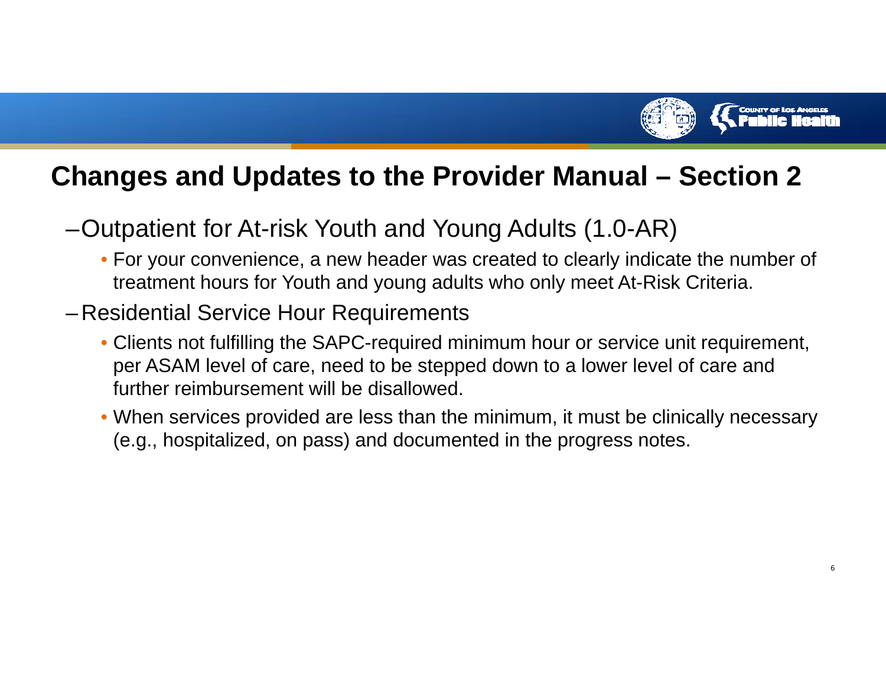

#### **Changes and Updates to the Provider Manual – Section 2**

–Outpatient for At-risk Youth and Young Adults (1.0-AR)

- For your convenience, a new header was created to clearly indicate the number of treatment hours for Youth and young adults who only meet At-Risk Criteria.
- – Residential Service Hour Requirements
	- Clients not fulfilling the SAPC-required minimum hour or service unit requirement, per ASAM level of care, need to be stepped down to a lower level of care and further reimbursement will be disallowed.
	- When services provided are less than the minimum, it must be clinically necessary (e.g., hospitalized, on pass) and documented in the progress notes.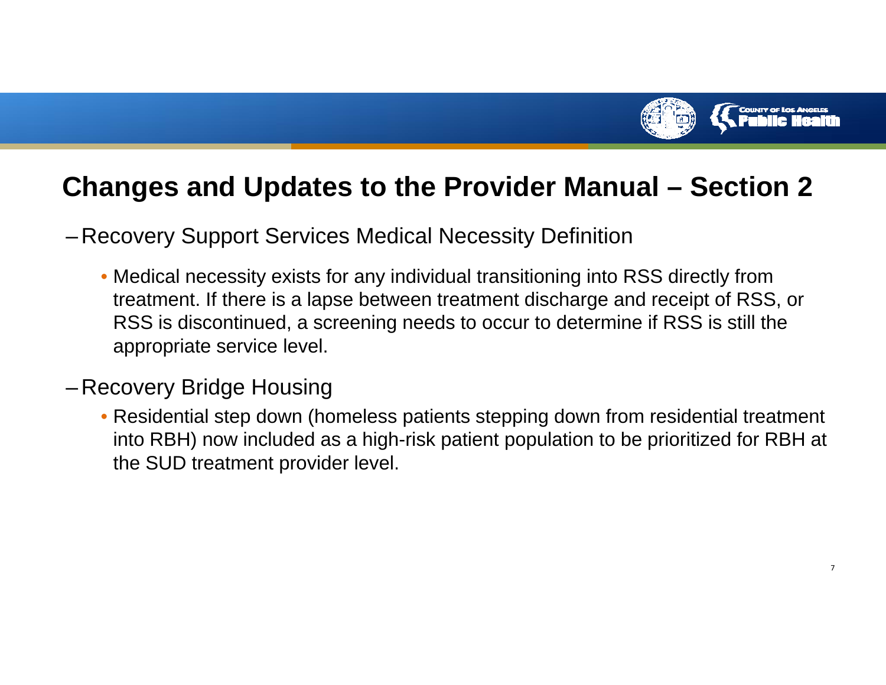

#### **Changes and Updates to the Provider Manual – Section 2**

- Recovery Support Services Medical Necessity Definition
	- Medical necessity exists for any individual transitioning into RSS directly from treatment. If there is a lapse between treatment discharge and receipt of RSS, or RSS is discontinued, a screening needs to occur to determine if RSS is still the appropriate service level.
- – Recovery Bridge Housing
	- Residential step down (homeless patients stepping down from residential treatment into RBH) now included as a high-risk patient population to be prioritized for RBH at the SUD treatment provider level.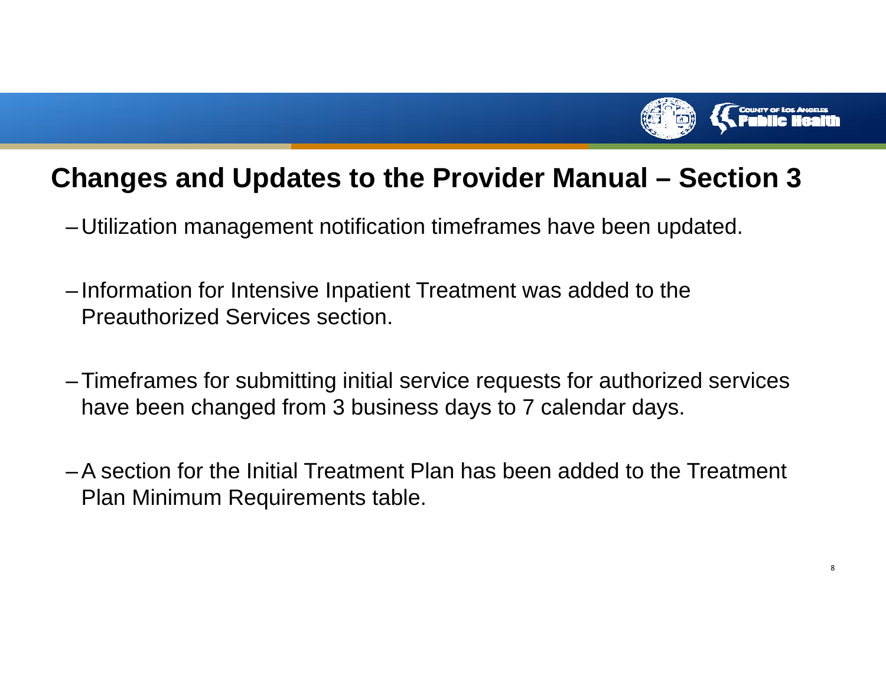

### **Changes and Updates to the Provider Manual – Section 3**

- –Utilization management notification timeframes have been updated.
- – Information for Intensive Inpatient Treatment was added to the Preauthorized Services section.
- – Timeframes for submitting initial service requests for authorized services have been changed from 3 business days to 7 calendar days.
- A section for the Initial Treatment Plan has been added to the Treatment Plan Minimum Requirements table.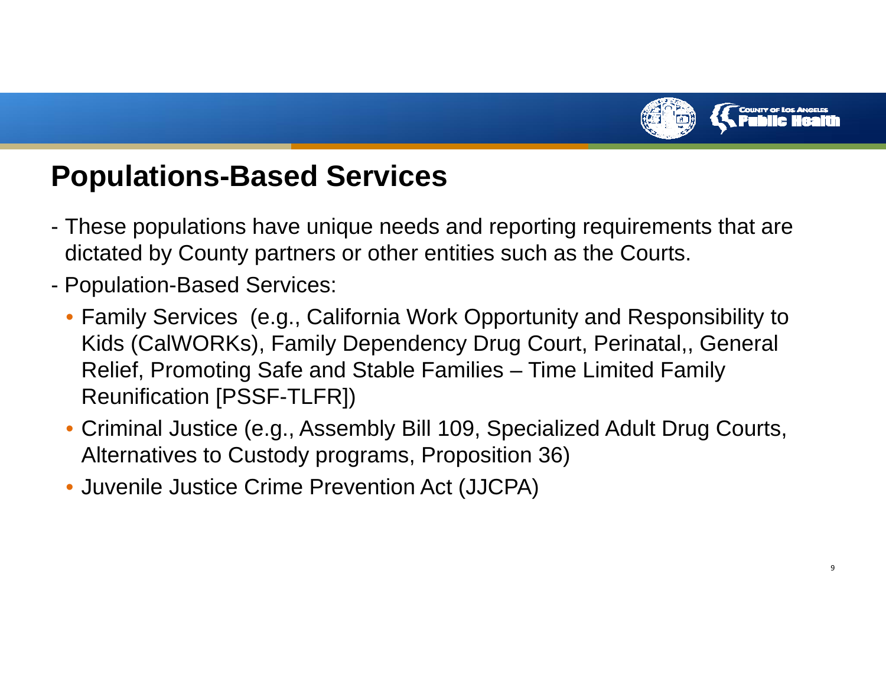

# **Populations-Based Services**

- These populations have unique needs and reporting requirements that are dictated by County partners or other entities such as the Courts.
- - Population-Based Services:
	- Family Services (e.g., California Work Opportunity and Responsibility to Kids (CalWORKs), Family Dependency Drug Court, Perinatal,, General Relief, Promoting Safe and Stable Families – Time Limited Family Reunification [PSSF-TLFR])
	- Criminal Justice (e.g., Assembly Bill 109, Specialized Adult Drug Courts, Alternatives to Custody programs, Proposition 36)
	- Juvenile Justice Crime Prevention Act (JJCPA)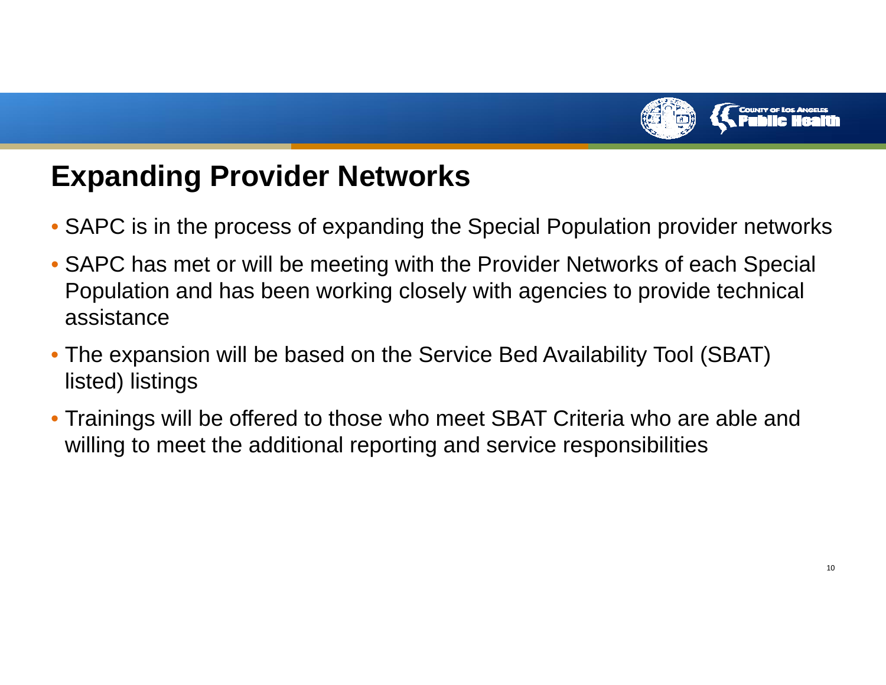

# **Expanding Provider Networks**

- SAPC is in the process of expanding the Special Population provider networks
- SAPC has met or will be meeting with the Provider Networks of each Special Population and has been working closely with agencies to provide technical assistance
- The expansion will be based on the Service Bed Availability Tool (SBAT) listed) listings
- Trainings will be offered to those who meet SBAT Criteria who are able and willing to meet the additional reporting and service responsibilities